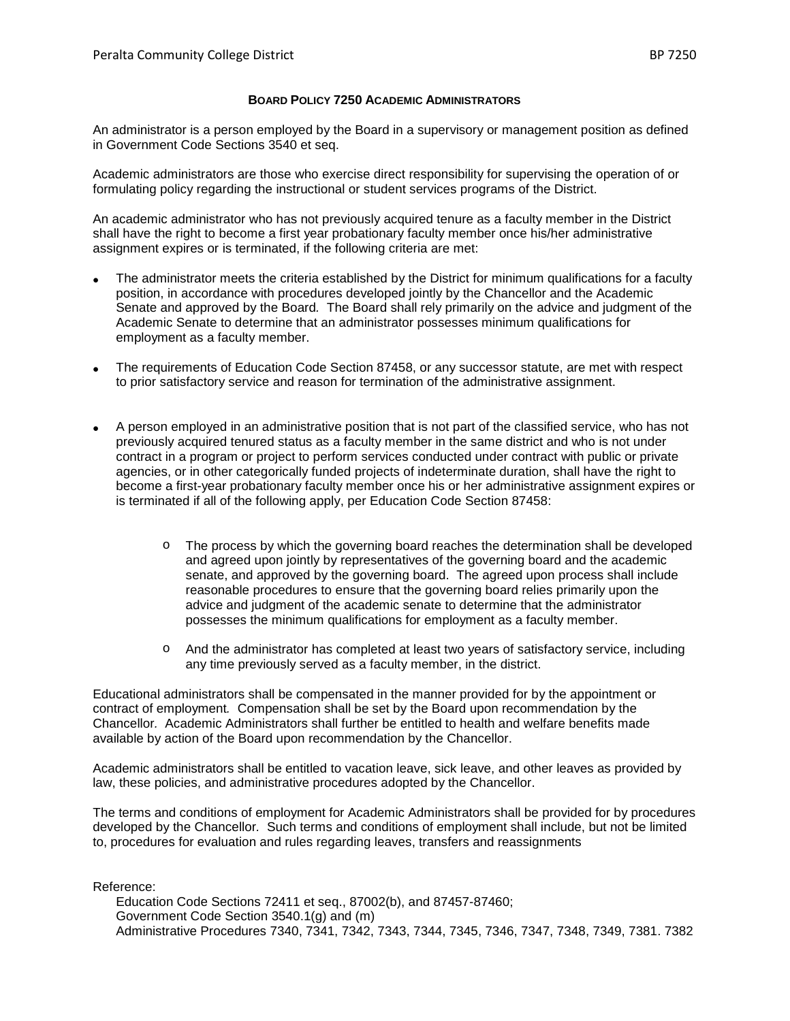## **BOARD POLICY 7250 ACADEMIC ADMINISTRATORS**

An administrator is a person employed by the Board in a supervisory or management position as defined in Government Code Sections 3540 et seq.

Academic administrators are those who exercise direct responsibility for supervising the operation of or formulating policy regarding the instructional or student services programs of the District.

An academic administrator who has not previously acquired tenure as a faculty member in the District shall have the right to become a first year probationary faculty member once his/her administrative assignment expires or is terminated, if the following criteria are met:

- The administrator meets the criteria established by the District for minimum qualifications for a faculty position, in accordance with procedures developed jointly by the Chancellor and the Academic Senate and approved by the Board*.* The Board shall rely primarily on the advice and judgment of the Academic Senate to determine that an administrator possesses minimum qualifications for employment as a faculty member.
- The requirements of Education Code Section 87458, or any successor statute, are met with respect to prior satisfactory service and reason for termination of the administrative assignment.
- A person employed in an administrative position that is not part of the classified service, who has not previously acquired tenured status as a faculty member in the same district and who is not under contract in a program or project to perform services conducted under contract with public or private agencies, or in other categorically funded projects of indeterminate duration, shall have the right to become a first-year probationary faculty member once his or her administrative assignment expires or is terminated if all of the following apply, per Education Code Section 87458:
	- o The process by which the governing board reaches the determination shall be developed and agreed upon jointly by representatives of the governing board and the academic senate, and approved by the governing board. The agreed upon process shall include reasonable procedures to ensure that the governing board relies primarily upon the advice and judgment of the academic senate to determine that the administrator possesses the minimum qualifications for employment as a faculty member.
	- o And the administrator has completed at least two years of satisfactory service, including any time previously served as a faculty member, in the district.

Educational administrators shall be compensated in the manner provided for by the appointment or contract of employment*.* Compensation shall be set by the Board upon recommendation by the Chancellor*.* Academic Administrators shall further be entitled to health and welfare benefits made available by action of the Board upon recommendation by the Chancellor.

Academic administrators shall be entitled to vacation leave, sick leave, and other leaves as provided by law, these policies, and administrative procedures adopted by the Chancellor.

The terms and conditions of employment for Academic Administrators shall be provided for by procedures developed by the Chancellor*.* Such terms and conditions of employment shall include, but not be limited to, procedures for evaluation and rules regarding leaves, transfers and reassignments

Reference:

Education Code Sections 72411 et seq., 87002(b), and 87457-87460; Government Code Section 3540.1(g) and (m) Administrative Procedures 7340, 7341, 7342, 7343, 7344, 7345, 7346, 7347, 7348, 7349, 7381. 7382